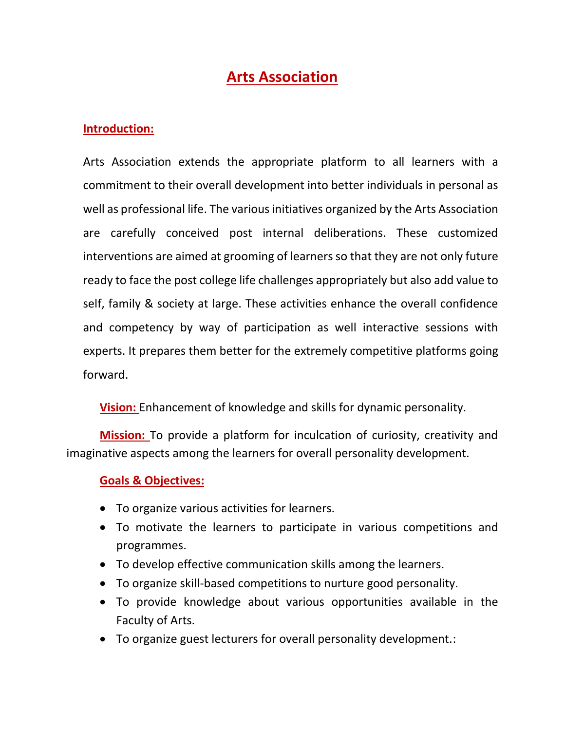# **Arts Association**

#### **Introduction:**

Arts Association extends the appropriate platform to all learners with a commitment to their overall development into better individuals in personal as well as professional life. The various initiatives organized by the Arts Association are carefully conceived post internal deliberations. These customized interventions are aimed at grooming of learners so that they are not only future ready to face the post college life challenges appropriately but also add value to self, family & society at large. These activities enhance the overall confidence and competency by way of participation as well interactive sessions with experts. It prepares them better for the extremely competitive platforms going forward.

**Vision:** Enhancement of knowledge and skills for dynamic personality.

**Mission:** To provide a platform for inculcation of curiosity, creativity and imaginative aspects among the learners for overall personality development.

#### **Goals & Objectives:**

- To organize various activities for learners.
- To motivate the learners to participate in various competitions and programmes.
- To develop effective communication skills among the learners.
- To organize skill-based competitions to nurture good personality.
- To provide knowledge about various opportunities available in the Faculty of Arts.
- To organize guest lecturers for overall personality development.: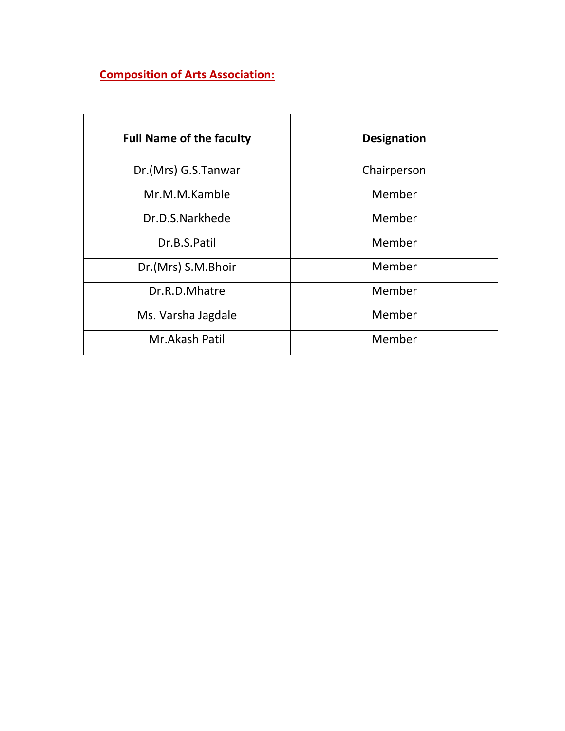# **Composition of Arts Association:**

| <b>Full Name of the faculty</b> | <b>Designation</b> |  |
|---------------------------------|--------------------|--|
| Dr.(Mrs) G.S.Tanwar             | Chairperson        |  |
| Mr.M.M.Kamble                   | Member             |  |
| Dr.D.S.Narkhede                 | Member             |  |
| Dr.B.S.Patil                    | Member             |  |
| Dr.(Mrs) S.M.Bhoir              | Member             |  |
| Dr.R.D.Mhatre                   | Member             |  |
| Ms. Varsha Jagdale              | Member             |  |
| Mr.Akash Patil                  | Member             |  |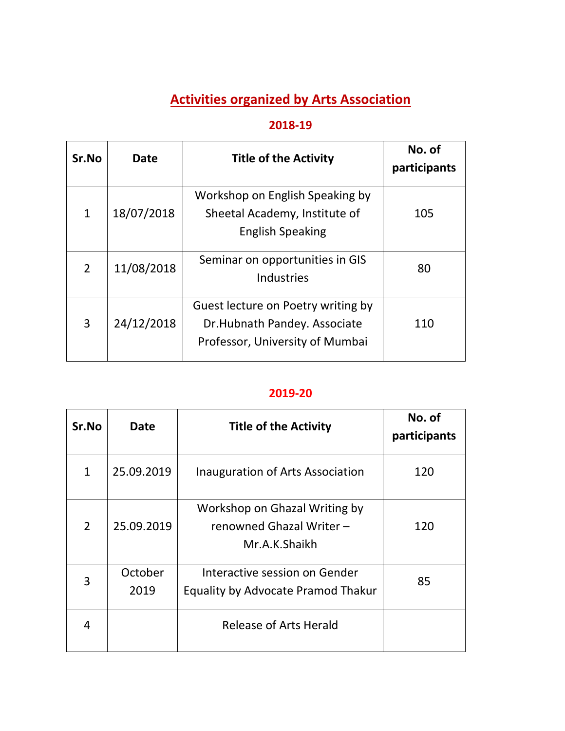# **Activities organized by Arts Association**

# **2018-19**

| Sr.No | Date       | <b>Title of the Activity</b>                                                                          | No. of<br>participants |
|-------|------------|-------------------------------------------------------------------------------------------------------|------------------------|
| 1     | 18/07/2018 | Workshop on English Speaking by<br>Sheetal Academy, Institute of<br><b>English Speaking</b>           | 105                    |
| 2     | 11/08/2018 | Seminar on opportunities in GIS<br>Industries                                                         | 80                     |
| 3     | 24/12/2018 | Guest lecture on Poetry writing by<br>Dr.Hubnath Pandey. Associate<br>Professor, University of Mumbai | 110                    |

### **2019-20**

| Sr.No          | <b>Date</b>     | <b>Title of the Activity</b>                                               | No. of<br>participants |
|----------------|-----------------|----------------------------------------------------------------------------|------------------------|
| 1              | 25.09.2019      | Inauguration of Arts Association                                           | 120                    |
| $\overline{2}$ | 25.09.2019      | Workshop on Ghazal Writing by<br>renowned Ghazal Writer -<br>Mr.A.K.Shaikh | 120                    |
| 3              | October<br>2019 | Interactive session on Gender<br>Equality by Advocate Pramod Thakur        | 85                     |
| 4              |                 | Release of Arts Herald                                                     |                        |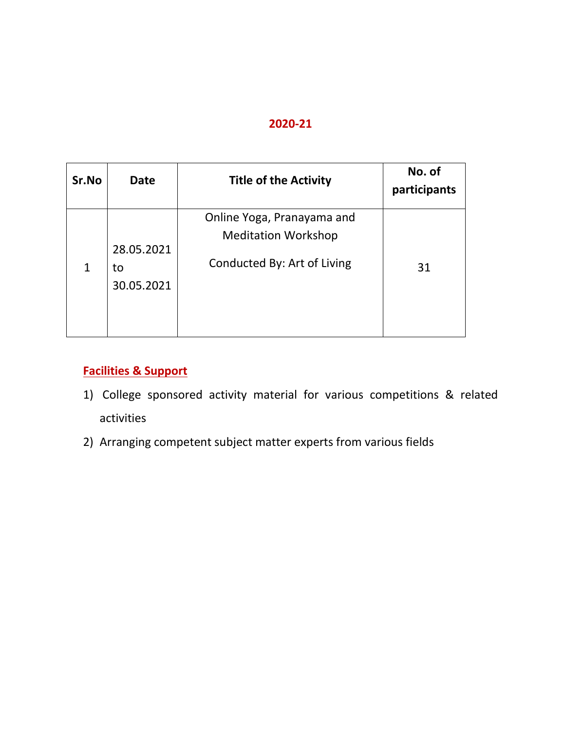#### **2020-21**

| Sr.No | <b>Date</b>                    | <b>Title of the Activity</b>                                                            | No. of<br>participants |
|-------|--------------------------------|-----------------------------------------------------------------------------------------|------------------------|
| 1     | 28.05.2021<br>to<br>30.05.2021 | Online Yoga, Pranayama and<br><b>Meditation Workshop</b><br>Conducted By: Art of Living | 31                     |

## **Facilities & Support**

- 1) College sponsored activity material for various competitions & related activities
- 2) Arranging competent subject matter experts from various fields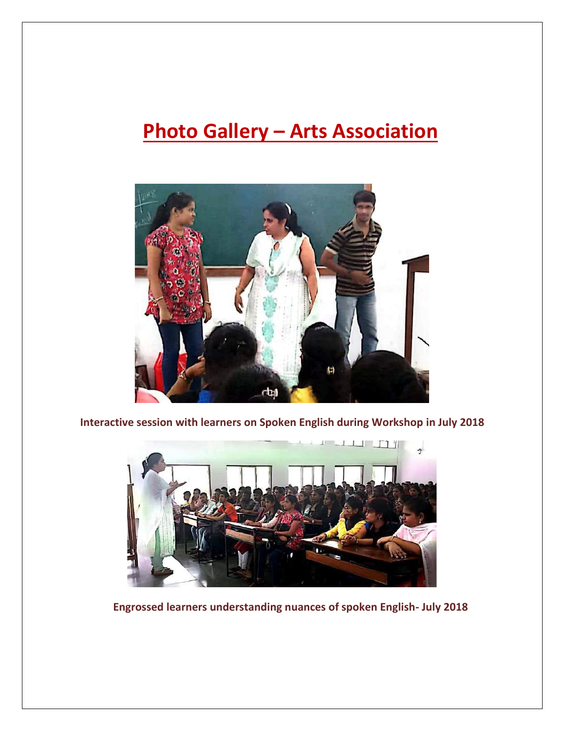# **Photo Gallery – Arts Association**



**Interactive session with learners on Spoken English during Workshop in July 2018**



**Engrossed learners understanding nuances of spoken English- July 2018**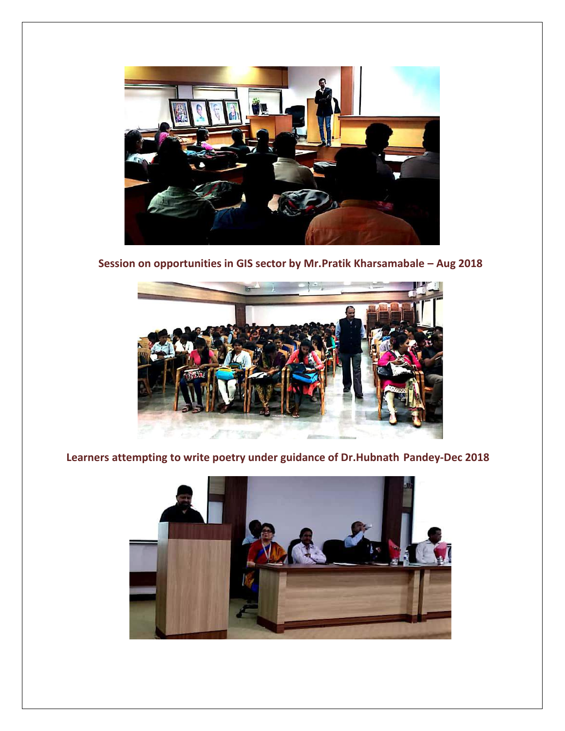

**Session on opportunities in GIS sector by Mr.Pratik Kharsamabale – Aug 2018**



**Learners attempting to write poetry under guidance of Dr.Hubnath Pandey-Dec 2018**

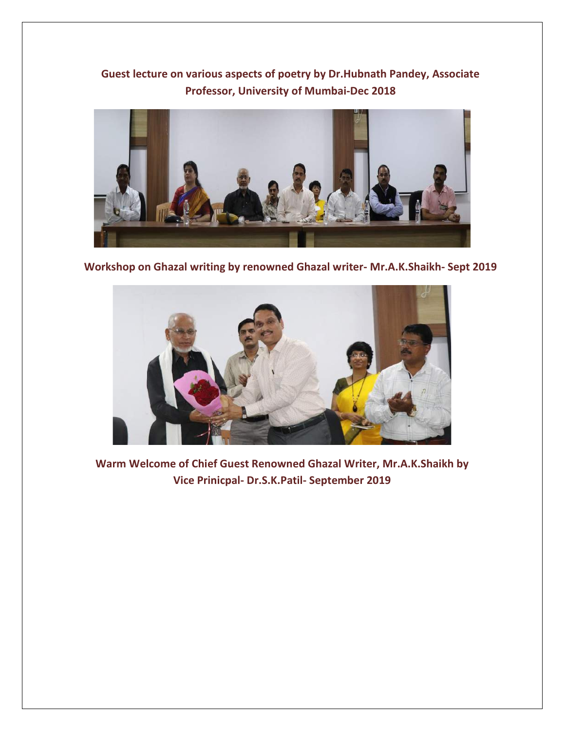# **Guest lecture on various aspects of poetry by Dr.Hubnath Pandey, Associate Professor, University of Mumbai-Dec 2018**



**Workshop on Ghazal writing by renowned Ghazal writer- Mr.A.K.Shaikh- Sept 2019**



**Warm Welcome of Chief Guest Renowned Ghazal Writer, Mr.A.K.Shaikh by Vice Prinicpal- Dr.S.K.Patil- September 2019**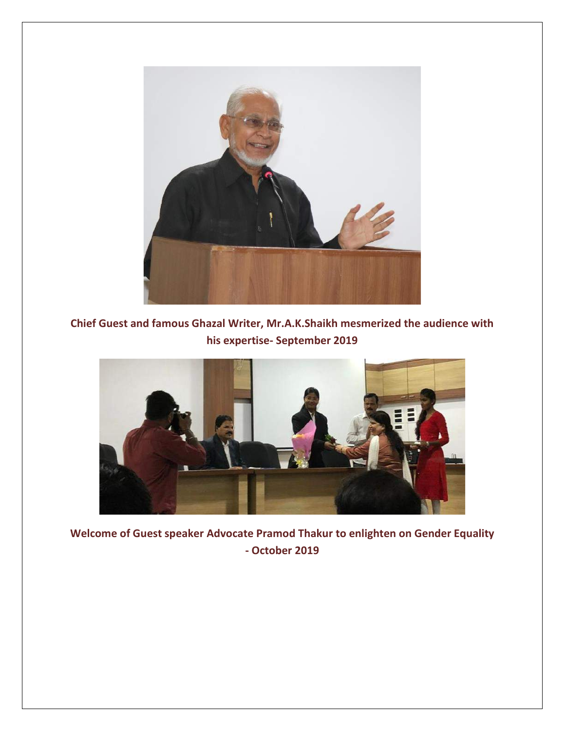

**Chief Guest and famous Ghazal Writer, Mr.A.K.Shaikh mesmerized the audience with his expertise- September 2019**



**Welcome of Guest speaker Advocate Pramod Thakur to enlighten on Gender Equality - October 2019**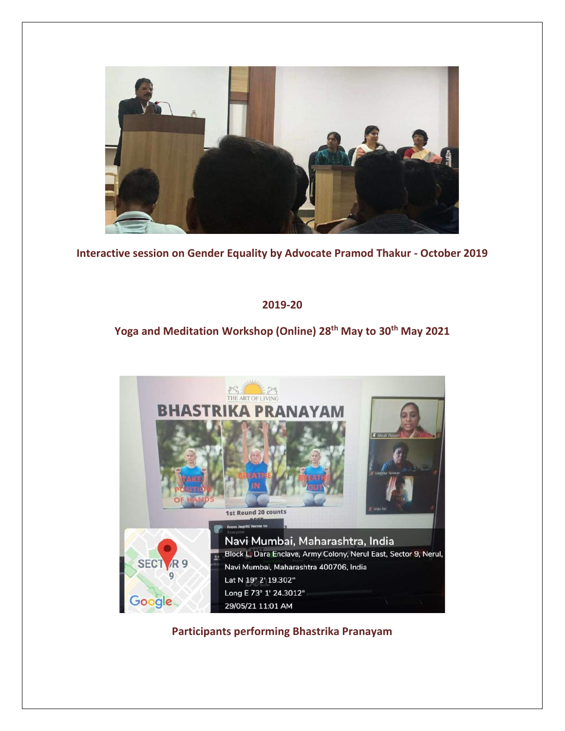

**Interactive session on Gender Equality by Advocate Pramod Thakur - October 2019**

#### **2019-20**

## **Yoga and Meditation Workshop (Online) 28th May to 30th May 2021**



**Participants performing Bhastrika Pranayam**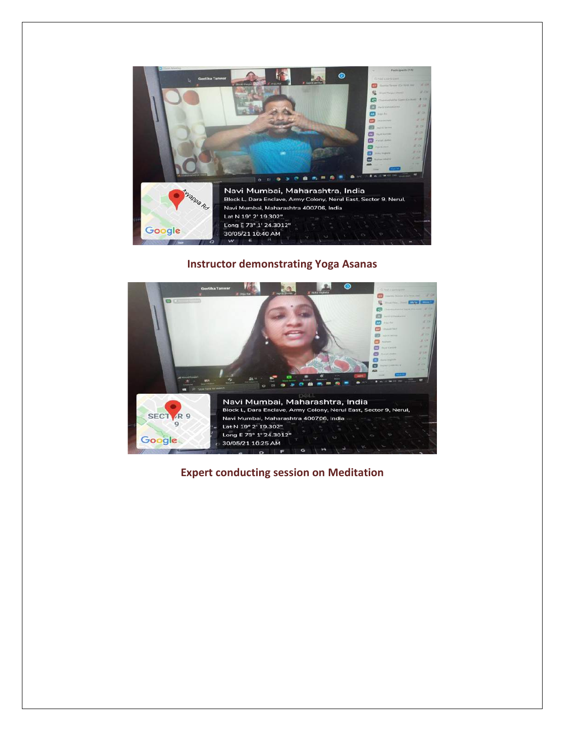

#### **Instructor demonstrating Yoga Asanas**



**Expert conducting session on Meditation**